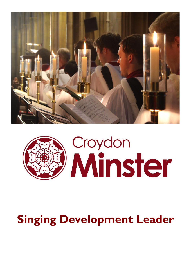



# **Singing Development Leader**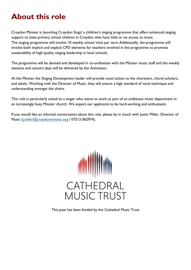## **About this role**

Croydon Minster is launching Croydon Sings! a children's singing programme that offers enhanced singing support to state primary school children in Croydon who have little or no access to music. The singing programme will involve 10 weekly school visits per term Additionally, the programme will involve both implicit and explicit CPD elements for teachers involved in the programme to promote sustainability of high-quality singing leadership in local schools.

The programme will be devised and developed in co-ordination with the Minster music staff and the weekly sessions and concert days will be delivered by the Animateur.

At the Minster the Singing Development leader will provide vocal tuition to the choristers, choral scholars, and adults. Working with the Director of Music, they will ensure a high standard of vocal technique and understanding amongst the choirs.

This role is particularly suited to a singer who wants to work as part of an ambitious music department in an increasingly busy Minster church. We expect our applicants to be hard-working and enthusiastic.

If you would like an informal conversation about this role, please be in touch with Justin Miller, Director of Music [\(j.miller@croydonminster.org](mailto:j.miller@croydonminster.org) / 07513 062974).



This post has been funded by the Cathedral Music Trust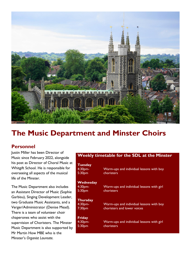

### **The Music Department and Minster Choirs**

### **Personnel**

Justin Miller has been Director of Music since February 2022, alongside his post as Director of Choral Music at Whitgift School. He is responsible for overseeing all aspects of the musical life of the Minster.

The Music Department also includes an Assistant Director of Music (Sophie Garbisu), Singing Development Leader, two Graduate Music Assistants, and a Verger/Administrator (Denise Mead). There is a team of volunteer choir chaperones who assist with the supervision of Choristers. The Minster Music Department is also supported by Mr Martin How MBE who is the Minster's *Organist Laureate.* 

#### **Weekly timetable for the SDL at the Minster**

| <b>Tuesday</b><br>4:30 <sub>pm</sub><br>5:30pm   | Warm-ups and individual lessons with boy<br>choristers                  |
|--------------------------------------------------|-------------------------------------------------------------------------|
| Wednesday<br>4:30pm-<br>5:30pm                   | Warm-ups and individual lessons with girl<br>choristers                 |
| <b>Thursday</b><br>4:30pm-<br>7:30 <sub>pm</sub> | Warm-ups and individual lessons with boy<br>choristers and lower voices |
| <b>Friday</b><br>4:30pm-<br>5:30 <sub>pm</sub>   | Warm-ups and individual lessons with girl<br>choristers                 |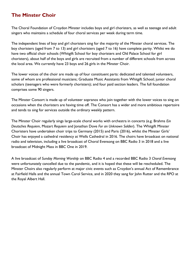### **The Minster Choir**

The Choral Foundation of Croydon Minster includes boys and girl choristers, as well as teenage and adult singers who maintains a schedule of four choral services per week during term time.

The independent lines of boy and girl choristers sing for the majority of the Minster choral services. The boy choristers (aged from 7 to 13) and girl choristers (aged 7 to 16) have complete parity. Whilst we do have two official choir schools (Whitgift School for boy choristers and Old Palace School for girl choristers), about half of the boys and girls are recruited from a number of different schools from across the local area. We currently have 23 boys and 26 girls in the Minster Choir.

The lower voices of the choir are made up of four constituent parts: dedicated and talented volunteers, some of whom are professional musicians; Graduate Music Assistants from Whitgift School; junior choral scholars (teenagers who were formerly choristers); and four paid section leaders. The full foundation comprises some 90 singers.

The Minster Consort is made up of volunteer sopranos who join together with the lower voices to sing on occasions when the choristers are having time off. The Consort has a wider and more ambitious repertoire and tends to sing for services outside the ordinary weekly pattern.

The Minster Choir regularly sings large-scale choral works with orchestra in concerts (e.g. Brahms *Ein Deutsches Requiem*, Mozart *Requiem* and Jonathan Dove *For an Unknown Soldier*). The Whitgift Minster Choristers have undertaken choir trips to Germany (2015) and Paris (2016), whilst the Minster Girls' Choir has enjoyed a cathedral residency at Wells Cathedral in 2016. The choirs have broadcast on national radio and television, including a live broadcast of Choral Evensong on BBC Radio 3 in 2018 and a live broadcast of Midnight Mass in BBC One in 2019.

A live broadcast of *Sunday Morning Worship* on BBC Radio 4 and a recorded BBC Radio 3 *Choral Evensong* were unfortunately cancelled due to the pandemic, and it is hoped that these will be rescheduled. The Minster Choirs also regularly perform at major civic events such as Croydon's annual Act of Remembrance at Fairfield Halls and the annual Town Carol Service, and in 2020 they sang for John Rutter and the RPO at the Royal Albert Hall.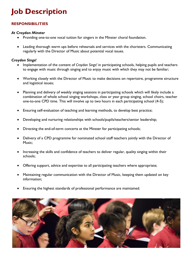# **Job Description**

### **RESPONSIBILITIES**

#### *At Croydon Minster*

- Providing one-to-one vocal tuition for singers in the Minster choral foundation.
- Leading thorough warm ups before rehearsals and services with the choristers. Communicating regularly with the Director of Music about potential vocal issues.

#### *Croydon Sings!*

- Implementation of the content of *Croydon Sings!* in participating schools, helping pupils and teachers to engage with music through singing and to enjoy music with which they may not be familiar;
- Working closely with the Director of Music to make decisions on repertoire, programme structure and logistical issues;
- Planning and delivery of weekly singing sessions in participating schools which will likely include a combination of whole school singing workshops, class or year group singing, school choirs, teacher one-to-one CPD time. This will involve up to two hours in each participating school (4-5);
- Ensuring self-evaluation of teaching and learning methods, to develop best practice;
- Developing and nurturing relationships with schools/pupils/teachers/senior leadership;
- Directing the end-of-term concerts at the Minster for participating schools;
- Delivery of a CPD programme for nominated school staff teachers jointly with the Director of Music;
- Increasing the skills and confidence of teachers to deliver regular, quality singing within their schools;
- Offering support, advice and expertise to all participating teachers where appropriate;
- Maintaining regular communication with the Director of Music, keeping them updated on key information;
- Ensuring the highest standards of professional performance are maintained.

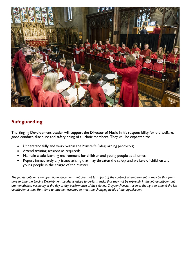

### **Safeguarding**

The Singing Development Leader will support the Director of Music in his responsibility for the welfare, good conduct, discipline and safety being of all choir members. They will be expected to:

- Understand fully and work within the Minster's Safeguarding protocols;
- Attend training sessions as required;
- Maintain a safe learning environment for children and young people at all times;
- Report immediately any issues arising that may threaten the safety and welfare of children and young people in the charge of the Minster.

*The job description is an operational document that does not form part of the contract of employment. It may be that from time to time the Singing Development Leader is asked to perform tasks that may not be expressly in the job description but are nonetheless necessary in the day to day performance of their duties. Croydon Minster reserves the right to amend the job description as may from time to time be necessary to meet the changing needs of the organisation.*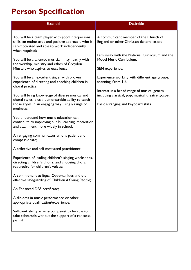# **Person Specification**

| <b>Essential</b>                                                                                                                                                              | <b>Desirable</b>                                                                                      |  |
|-------------------------------------------------------------------------------------------------------------------------------------------------------------------------------|-------------------------------------------------------------------------------------------------------|--|
| You will be a team player with good interpersonal<br>skills, an enthusiastic and positive approach, who is<br>self-motivated and able to work independently<br>when required; | A communicant member of the Church of<br>England or other Christian denomination;                     |  |
| You will be a talented musician in sympathy with<br>the worship, ministry and ethos of Croydon<br>Minster, who aspires to excellence;                                         | Familiarity with the National Curriculum and the<br><b>Model Music Curriculum;</b><br>SEN experience; |  |
| You will be an excellent singer with proven<br>experience of directing and coaching children in<br>choral practice;                                                           | Experience working with different age groups,<br>spanning Years 1-6;                                  |  |
| You will bring knowledge of diverse musical and<br>choral styles, plus a demonstrable ability to teach                                                                        | Interest in a broad range of musical genres<br>including classical, pop, musical theatre, gospel;     |  |
| those styles in an engaging way using a range of<br>methods;                                                                                                                  | Basic arranging and keyboard skills                                                                   |  |
| You understand how music education can<br>contribute to improving pupils' learning, motivation<br>and attainment more widely in school;                                       |                                                                                                       |  |
| An engaging communicator who is patient and<br>compassionate;                                                                                                                 |                                                                                                       |  |
| A reflective and self-motivated practitioner;                                                                                                                                 |                                                                                                       |  |
| Experience of leading children's singing workshops,<br>directing children's choirs, and choosing choral<br>repertoire for children's voices;                                  |                                                                                                       |  |
| A commitment to Equal Opportunities and the<br>effective safeguarding of Children & Young People;                                                                             |                                                                                                       |  |
| An Enhanced DBS certificate;                                                                                                                                                  |                                                                                                       |  |
| A diploma in music performance or other<br>appropriate qualification/experience.                                                                                              |                                                                                                       |  |
| Sufficient ability as an accompanist to be able to<br>take rehearsals without the support of a rehearsal<br>pianist                                                           |                                                                                                       |  |
|                                                                                                                                                                               |                                                                                                       |  |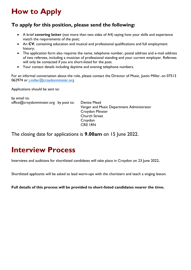# **How to Apply**

### **To apply for this position, please send the following:**

- A brief **covering letter** (not more than two sides of A4) saying how your skills and experience match the requirements of the post;
- An **CV**, containing education and musical and professional qualifications and full employment history;
- The application form also requires the name, telephone number, postal address and e-mail address of two referees, including a musician of professional standing and your current employer. Referees will only be contacted if you are short-listed for the post.
- Your contact details including daytime and evening telephone numbers.

For an informal conversation about the role, please contact the Director of Music, Justin Miller, on 07513 062974 or [j.miller@croydonminster.org](mailto:j.miller@croydonminster.org)

Applications should be sent to:

by email to: office@croydonminster.org by post to: Denise Mead

Verger and Music Department Administrator Croydon Minster Church Street Croydon CR0 1RN

The closing date for applications is **9.00am** on 15 June 2022.

### **Interview Process**

Interviews and auditions for shortlisted candidates will take place in Croydon on 23 June 2022**.**

Shortlisted applicants will be asked to lead warm-ups with the choristers and teach a singing lesson.

**Full details of this process will be provided to short-listed candidates nearer the time.**